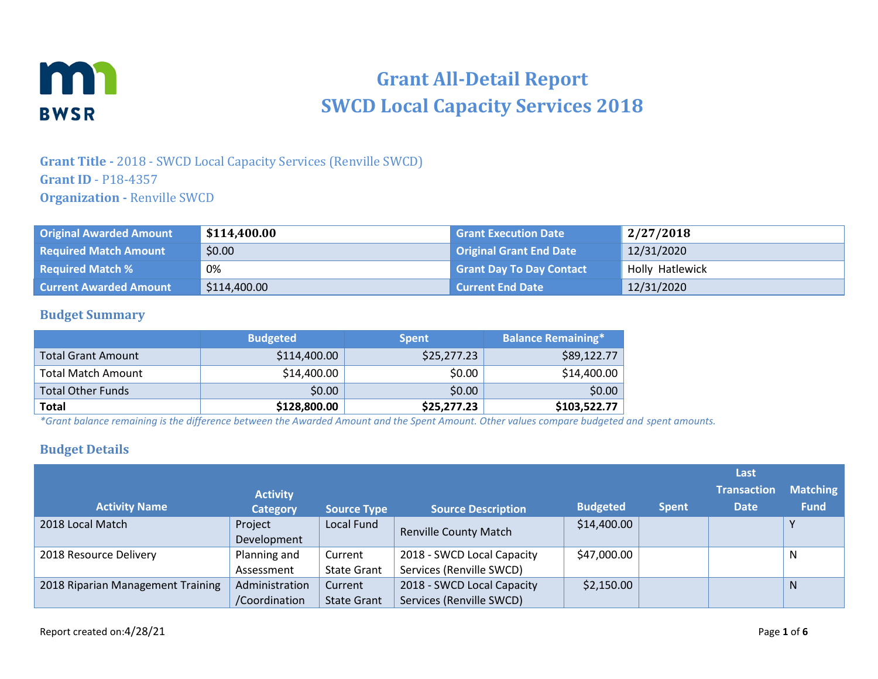

# **Grant All-Detail Report SWCD Local Capacity Services 2018**

### **Grant Title -** 2018 - SWCD Local Capacity Services (Renville SWCD) **Grant ID** - P18-4357 **Organization -** Renville SWCD

| <b>Original Awarded Amount</b> | \$114,400.00 | <b>Grant Execution Date</b>     | 2/27/2018       |
|--------------------------------|--------------|---------------------------------|-----------------|
| <b>Required Match Amount</b>   | \$0.00       | Original Grant End Date         | 12/31/2020      |
| <b>Required Match %</b>        | 0%           | <b>Grant Day To Day Contact</b> | Holly Hatlewick |
| <b>Current Awarded Amount</b>  | \$114,400.00 | Current End Date                | 12/31/2020      |

#### **Budget Summary**

|                           | <b>Budgeted</b> | <b>Spent</b> | <b>Balance Remaining*</b> |
|---------------------------|-----------------|--------------|---------------------------|
| <b>Total Grant Amount</b> | \$114,400.00    | \$25,277.23  | \$89,122.77               |
| Total Match Amount        | \$14,400.00     | \$0.00       | \$14,400.00               |
| <b>Total Other Funds</b>  | \$0.00          | \$0.00       | \$0.00                    |
| <b>Total</b>              | \$128,800.00    | \$25,277.23  | \$103,522.77              |

*\*Grant balance remaining is the difference between the Awarded Amount and the Spent Amount. Other values compare budgeted and spent amounts.*

#### **Budget Details**

|                                   |                        |                    |                              |                 |              | Lasti              |                 |
|-----------------------------------|------------------------|--------------------|------------------------------|-----------------|--------------|--------------------|-----------------|
|                                   | <b>Activity</b>        |                    |                              |                 |              | <b>Transaction</b> | <b>Matching</b> |
| <b>Activity Name</b>              | <b>Category</b>        | <b>Source Type</b> | <b>Source Description</b>    | <b>Budgeted</b> | <b>Spent</b> | <b>Date</b>        | <b>Fund</b>     |
| 2018 Local Match                  | Project<br>Development | Local Fund         | <b>Renville County Match</b> | \$14,400.00     |              |                    | v               |
| 2018 Resource Delivery            | Planning and           | Current            | 2018 - SWCD Local Capacity   | \$47,000.00     |              |                    | N               |
|                                   | Assessment             | <b>State Grant</b> | Services (Renville SWCD)     |                 |              |                    |                 |
| 2018 Riparian Management Training | Administration         | Current            | 2018 - SWCD Local Capacity   | \$2,150.00      |              |                    | <sub>N</sub>    |
|                                   | /Coordination          | <b>State Grant</b> | Services (Renville SWCD)     |                 |              |                    |                 |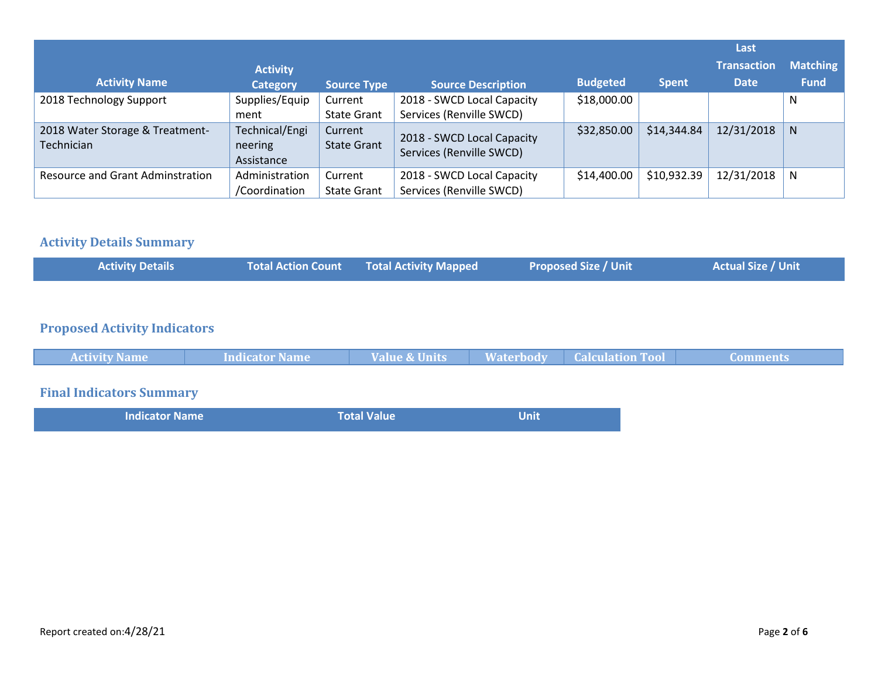|                                               |                                         |                               |                                                        |                 |              | Last               |                 |
|-----------------------------------------------|-----------------------------------------|-------------------------------|--------------------------------------------------------|-----------------|--------------|--------------------|-----------------|
|                                               | <b>Activity</b>                         |                               |                                                        |                 |              | <b>Transaction</b> | <b>Matching</b> |
| <b>Activity Name</b>                          | <b>Category</b>                         | <b>Source Type</b>            | <b>Source Description</b>                              | <b>Budgeted</b> | <b>Spent</b> | <b>Date</b>        | <b>Fund</b>     |
| 2018 Technology Support                       | Supplies/Equip<br>ment                  | Current<br><b>State Grant</b> | 2018 - SWCD Local Capacity<br>Services (Renville SWCD) | \$18,000.00     |              |                    | <sup>N</sup>    |
| 2018 Water Storage & Treatment-<br>Technician | Technical/Engi<br>neering<br>Assistance | Current<br><b>State Grant</b> | 2018 - SWCD Local Capacity<br>Services (Renville SWCD) | \$32,850.00     | \$14,344.84  | 12/31/2018         | <sup>N</sup>    |
| <b>Resource and Grant Adminstration</b>       | Administration<br>/Coordination         | Current<br><b>State Grant</b> | 2018 - SWCD Local Capacity<br>Services (Renville SWCD) | \$14,400.00     | \$10,932.39  | 12/31/2018         | <sup>N</sup>    |

## **Activity Details Summary**

|  |  | <b>Activity Details</b> |  | <b>Total Action Count Fotal Activity Mapped</b> | <b>Proposed Size / Unit</b> | <b>Actual Size / Unit \</b> |
|--|--|-------------------------|--|-------------------------------------------------|-----------------------------|-----------------------------|
|--|--|-------------------------|--|-------------------------------------------------|-----------------------------|-----------------------------|

# **Proposed Activity Indicators**

| <b>Activity Name</b>            | Indicator Name | <b>Value &amp; Units</b> | <b>Waterbody Calculation Tool</b> | Comments |
|---------------------------------|----------------|--------------------------|-----------------------------------|----------|
|                                 |                |                          |                                   |          |
| <b>Final Indicators Summary</b> |                |                          |                                   |          |

| <b>Indicator Name</b> | <b>Total Value</b> | Unit |
|-----------------------|--------------------|------|
|                       |                    |      |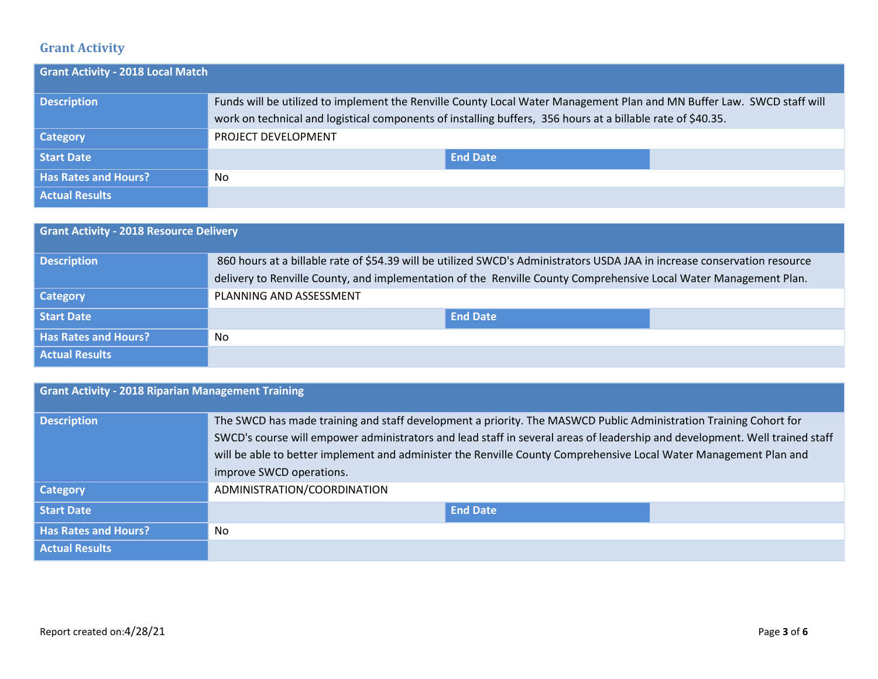# **Grant Activity**

| <b>Grant Activity - 2018 Local Match</b> |                                                                                                                                                                                                                                       |
|------------------------------------------|---------------------------------------------------------------------------------------------------------------------------------------------------------------------------------------------------------------------------------------|
| <b>Description</b>                       | Funds will be utilized to implement the Renville County Local Water Management Plan and MN Buffer Law. SWCD staff will<br>work on technical and logistical components of installing buffers, 356 hours at a billable rate of \$40.35. |
| <b>Category</b>                          | PROJECT DEVELOPMENT                                                                                                                                                                                                                   |
| Start Date                               | <b>End Date</b>                                                                                                                                                                                                                       |
| <b>Has Rates and Hours?</b>              | No                                                                                                                                                                                                                                    |
| <b>Actual Results</b>                    |                                                                                                                                                                                                                                       |

|                             | <b>Grant Activity - 2018 Resource Delivery</b>                                                                            |  |  |  |
|-----------------------------|---------------------------------------------------------------------------------------------------------------------------|--|--|--|
| <b>Description</b>          | 860 hours at a billable rate of \$54.39 will be utilized SWCD's Administrators USDA JAA in increase conservation resource |  |  |  |
|                             | delivery to Renville County, and implementation of the Renville County Comprehensive Local Water Management Plan.         |  |  |  |
| <b>Category</b>             | PLANNING AND ASSESSMENT                                                                                                   |  |  |  |
| Start Date                  | <b>End Date</b>                                                                                                           |  |  |  |
| <b>Has Rates and Hours?</b> | No                                                                                                                        |  |  |  |
| <b>Actual Results</b>       |                                                                                                                           |  |  |  |

| <b>Grant Activity - 2018 Riparian Management Training</b> |                                                                                                                                                                                                                                                                                                                                                                                                   |  |  |
|-----------------------------------------------------------|---------------------------------------------------------------------------------------------------------------------------------------------------------------------------------------------------------------------------------------------------------------------------------------------------------------------------------------------------------------------------------------------------|--|--|
| <b>Description</b>                                        | The SWCD has made training and staff development a priority. The MASWCD Public Administration Training Cohort for<br>SWCD's course will empower administrators and lead staff in several areas of leadership and development. Well trained staff<br>will be able to better implement and administer the Renville County Comprehensive Local Water Management Plan and<br>improve SWCD operations. |  |  |
| <b>Category</b>                                           | ADMINISTRATION/COORDINATION                                                                                                                                                                                                                                                                                                                                                                       |  |  |
| <b>Start Date</b>                                         | <b>End Date</b>                                                                                                                                                                                                                                                                                                                                                                                   |  |  |
| <b>Has Rates and Hours?</b>                               | No                                                                                                                                                                                                                                                                                                                                                                                                |  |  |
| <b>Actual Results</b>                                     |                                                                                                                                                                                                                                                                                                                                                                                                   |  |  |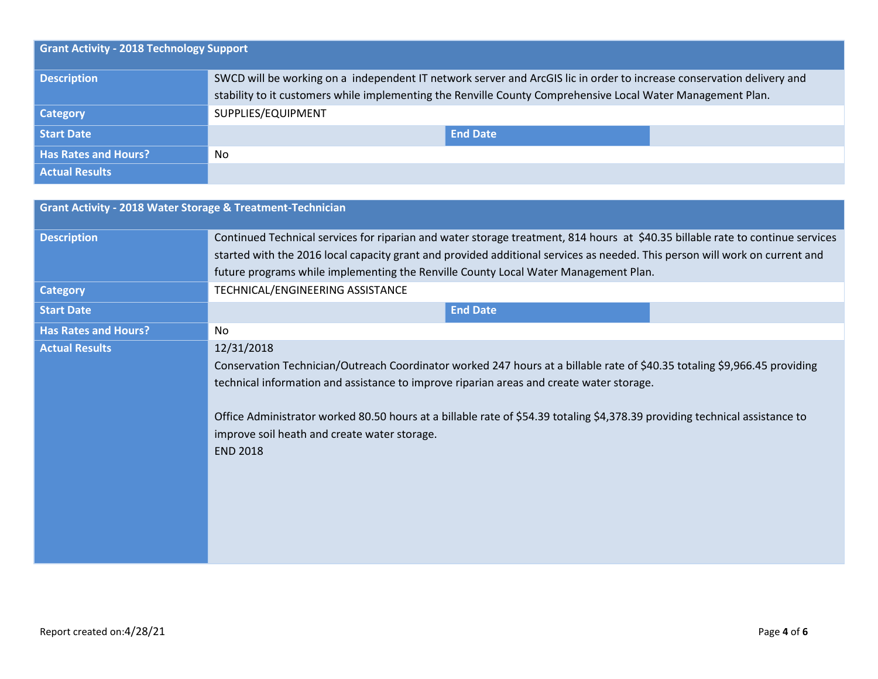|                             | <b>Grant Activity - 2018 Technology Support</b>                                                                       |  |  |  |
|-----------------------------|-----------------------------------------------------------------------------------------------------------------------|--|--|--|
| <b>Description</b>          | SWCD will be working on a independent IT network server and ArcGIS lic in order to increase conservation delivery and |  |  |  |
|                             | stability to it customers while implementing the Renville County Comprehensive Local Water Management Plan.           |  |  |  |
| <b>Category</b>             | SUPPLIES/EQUIPMENT                                                                                                    |  |  |  |
| Start Date                  | <b>End Date</b>                                                                                                       |  |  |  |
| <b>Has Rates and Hours?</b> | No                                                                                                                    |  |  |  |
| <b>Actual Results</b>       |                                                                                                                       |  |  |  |

| <b>Grant Activity - 2018 Water Storage &amp; Treatment-Technician</b> |                                                                                                                                                                                                                                                                                                                                                                                                                                       |
|-----------------------------------------------------------------------|---------------------------------------------------------------------------------------------------------------------------------------------------------------------------------------------------------------------------------------------------------------------------------------------------------------------------------------------------------------------------------------------------------------------------------------|
| <b>Description</b>                                                    | Continued Technical services for riparian and water storage treatment, 814 hours at \$40.35 billable rate to continue services<br>started with the 2016 local capacity grant and provided additional services as needed. This person will work on current and                                                                                                                                                                         |
|                                                                       | future programs while implementing the Renville County Local Water Management Plan.                                                                                                                                                                                                                                                                                                                                                   |
| <b>Category</b>                                                       | TECHNICAL/ENGINEERING ASSISTANCE                                                                                                                                                                                                                                                                                                                                                                                                      |
| <b>Start Date</b>                                                     | <b>End Date</b>                                                                                                                                                                                                                                                                                                                                                                                                                       |
| <b>Has Rates and Hours?</b>                                           | No.                                                                                                                                                                                                                                                                                                                                                                                                                                   |
| <b>Actual Results</b>                                                 | 12/31/2018<br>Conservation Technician/Outreach Coordinator worked 247 hours at a billable rate of \$40.35 totaling \$9,966.45 providing<br>technical information and assistance to improve riparian areas and create water storage.<br>Office Administrator worked 80.50 hours at a billable rate of \$54.39 totaling \$4,378.39 providing technical assistance to<br>improve soil heath and create water storage.<br><b>END 2018</b> |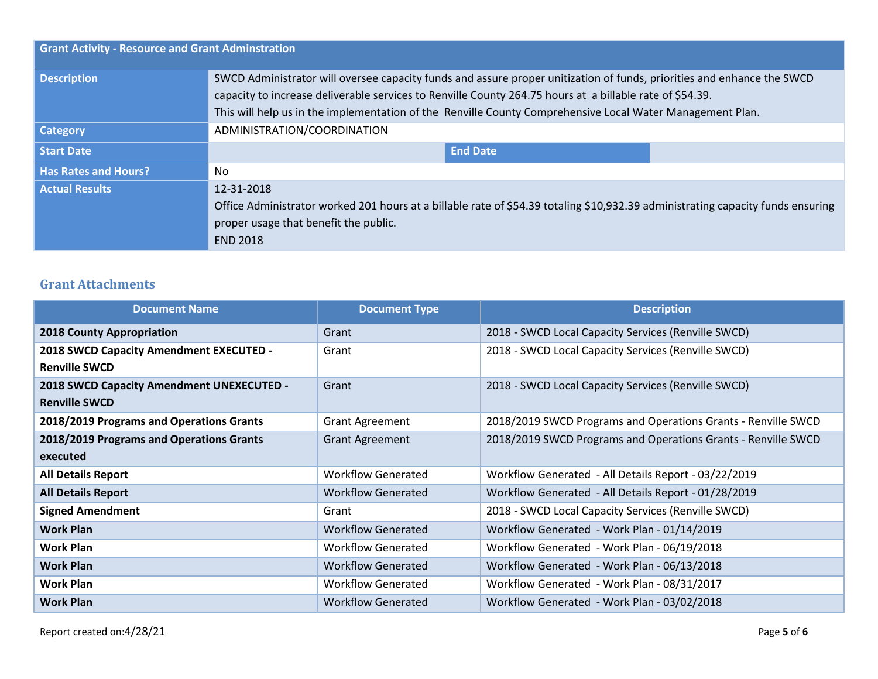| <b>Grant Activity - Resource and Grant Adminstration</b> |                                                                                                                                                                                                                                                                                                                                                 |  |  |  |
|----------------------------------------------------------|-------------------------------------------------------------------------------------------------------------------------------------------------------------------------------------------------------------------------------------------------------------------------------------------------------------------------------------------------|--|--|--|
| <b>Description</b>                                       | SWCD Administrator will oversee capacity funds and assure proper unitization of funds, priorities and enhance the SWCD<br>capacity to increase deliverable services to Renville County 264.75 hours at a billable rate of \$54.39.<br>This will help us in the implementation of the Renville County Comprehensive Local Water Management Plan. |  |  |  |
| Category                                                 | ADMINISTRATION/COORDINATION                                                                                                                                                                                                                                                                                                                     |  |  |  |
| <b>Start Date</b>                                        | <b>End Date</b>                                                                                                                                                                                                                                                                                                                                 |  |  |  |
| <b>Has Rates and Hours?</b>                              | No                                                                                                                                                                                                                                                                                                                                              |  |  |  |
| <b>Actual Results</b>                                    | 12-31-2018<br>Office Administrator worked 201 hours at a billable rate of \$54.39 totaling \$10,932.39 administrating capacity funds ensuring<br>proper usage that benefit the public.<br><b>END 2018</b>                                                                                                                                       |  |  |  |

## **Grant Attachments**

| <b>Document Name</b>                      | <b>Document Type</b>      | <b>Description</b>                                            |
|-------------------------------------------|---------------------------|---------------------------------------------------------------|
| <b>2018 County Appropriation</b>          | Grant                     | 2018 - SWCD Local Capacity Services (Renville SWCD)           |
| 2018 SWCD Capacity Amendment EXECUTED -   | Grant                     | 2018 - SWCD Local Capacity Services (Renville SWCD)           |
| <b>Renville SWCD</b>                      |                           |                                                               |
| 2018 SWCD Capacity Amendment UNEXECUTED - | Grant                     | 2018 - SWCD Local Capacity Services (Renville SWCD)           |
| <b>Renville SWCD</b>                      |                           |                                                               |
| 2018/2019 Programs and Operations Grants  | <b>Grant Agreement</b>    | 2018/2019 SWCD Programs and Operations Grants - Renville SWCD |
| 2018/2019 Programs and Operations Grants  | <b>Grant Agreement</b>    | 2018/2019 SWCD Programs and Operations Grants - Renville SWCD |
| executed                                  |                           |                                                               |
| <b>All Details Report</b>                 | <b>Workflow Generated</b> | Workflow Generated - All Details Report - 03/22/2019          |
| <b>All Details Report</b>                 | <b>Workflow Generated</b> | Workflow Generated - All Details Report - 01/28/2019          |
| <b>Signed Amendment</b>                   | Grant                     | 2018 - SWCD Local Capacity Services (Renville SWCD)           |
| <b>Work Plan</b>                          | <b>Workflow Generated</b> | Workflow Generated - Work Plan - 01/14/2019                   |
| <b>Work Plan</b>                          | <b>Workflow Generated</b> | Workflow Generated - Work Plan - 06/19/2018                   |
| <b>Work Plan</b>                          | <b>Workflow Generated</b> | Workflow Generated - Work Plan - 06/13/2018                   |
| <b>Work Plan</b>                          | <b>Workflow Generated</b> | Workflow Generated - Work Plan - 08/31/2017                   |
| <b>Work Plan</b>                          | <b>Workflow Generated</b> | Workflow Generated - Work Plan - 03/02/2018                   |